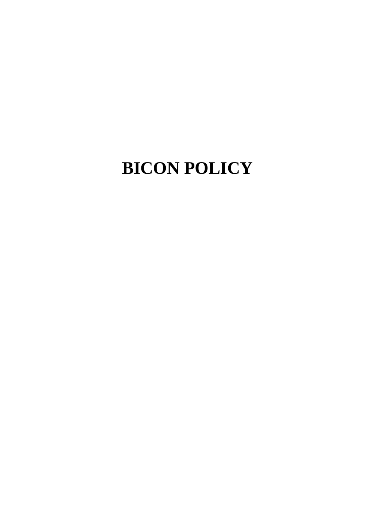# **BICON POLICY**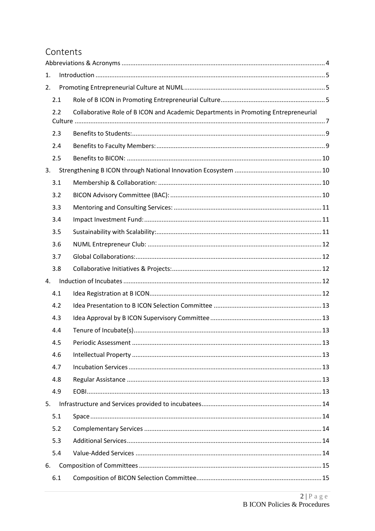# Contents

| 1. |     |                                                                                    |  |  |
|----|-----|------------------------------------------------------------------------------------|--|--|
| 2. |     |                                                                                    |  |  |
|    | 2.1 |                                                                                    |  |  |
|    | 2.2 | Collaborative Role of B ICON and Academic Departments in Promoting Entrepreneurial |  |  |
|    |     |                                                                                    |  |  |
|    | 2.3 |                                                                                    |  |  |
|    | 2.4 |                                                                                    |  |  |
|    | 2.5 |                                                                                    |  |  |
| 3. |     |                                                                                    |  |  |
|    | 3.1 |                                                                                    |  |  |
|    | 3.2 |                                                                                    |  |  |
|    | 3.3 |                                                                                    |  |  |
|    | 3.4 |                                                                                    |  |  |
|    | 3.5 |                                                                                    |  |  |
|    | 3.6 |                                                                                    |  |  |
|    | 3.7 |                                                                                    |  |  |
|    | 3.8 |                                                                                    |  |  |
| 4. |     |                                                                                    |  |  |
|    | 4.1 |                                                                                    |  |  |
|    | 4.2 |                                                                                    |  |  |
|    | 4.3 |                                                                                    |  |  |
|    | 4.4 |                                                                                    |  |  |
|    | 4.5 |                                                                                    |  |  |
|    | 4.6 |                                                                                    |  |  |
|    | 4.7 |                                                                                    |  |  |
|    | 4.8 |                                                                                    |  |  |
|    | 4.9 |                                                                                    |  |  |
| 5. |     |                                                                                    |  |  |
|    | 5.1 |                                                                                    |  |  |
|    | 5.2 |                                                                                    |  |  |
|    | 5.3 |                                                                                    |  |  |
|    | 5.4 |                                                                                    |  |  |
| 6. |     |                                                                                    |  |  |
|    | 6.1 |                                                                                    |  |  |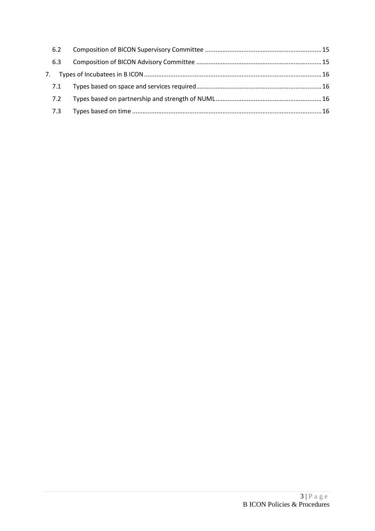| 6.2 |  |  |  |  |
|-----|--|--|--|--|
| 6.3 |  |  |  |  |
|     |  |  |  |  |
| 7.1 |  |  |  |  |
| 7.2 |  |  |  |  |
| 7.3 |  |  |  |  |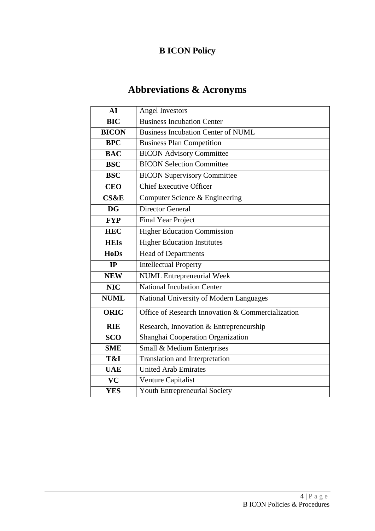# **B ICON Policy**

# **Abbreviations & Acronyms**

<span id="page-3-0"></span>

| <b>Angel Investors</b>                            |
|---------------------------------------------------|
| <b>Business Incubation Center</b>                 |
| <b>Business Incubation Center of NUML</b>         |
| <b>Business Plan Competition</b>                  |
| <b>BICON Advisory Committee</b>                   |
| <b>BICON Selection Committee</b>                  |
| <b>BICON Supervisory Committee</b>                |
| <b>Chief Executive Officer</b>                    |
| Computer Science & Engineering                    |
| <b>Director General</b>                           |
| <b>Final Year Project</b>                         |
| <b>Higher Education Commission</b>                |
| <b>Higher Education Institutes</b>                |
| <b>Head of Departments</b>                        |
| <b>Intellectual Property</b>                      |
| <b>NUML</b> Entrepreneurial Week                  |
| National Incubation Center                        |
| National University of Modern Languages           |
| Office of Research Innovation & Commercialization |
| Research, Innovation & Entrepreneurship           |
| Shanghai Cooperation Organization                 |
| Small & Medium Enterprises                        |
| <b>Translation and Interpretation</b>             |
| <b>United Arab Emirates</b>                       |
| Venture Capitalist                                |
| Youth Entrepreneurial Society                     |
|                                                   |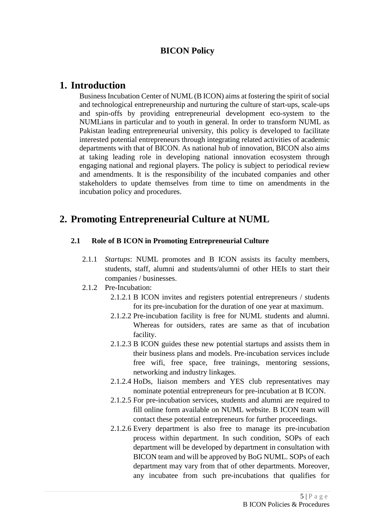## **BICON Policy**

## <span id="page-4-0"></span>**1. Introduction**

Business Incubation Center of NUML (B ICON) aims at fostering the spirit of social and technological entrepreneurship and nurturing the culture of start-ups, scale-ups and spin-offs by providing entrepreneurial development eco-system to the NUMLians in particular and to youth in general. In order to transform NUML as Pakistan leading entrepreneurial university, this policy is developed to facilitate interested potential entrepreneurs through integrating related activities of academic departments with that of BICON. As national hub of innovation, BICON also aims at taking leading role in developing national innovation ecosystem through engaging national and regional players. The policy is subject to periodical review and amendments. It is the responsibility of the incubated companies and other stakeholders to update themselves from time to time on amendments in the incubation policy and procedures.

# <span id="page-4-1"></span>**2. Promoting Entrepreneurial Culture at NUML**

## <span id="page-4-2"></span>**2.1 Role of B ICON in Promoting Entrepreneurial Culture**

- 2.1.1 *Startups*: NUML promotes and B ICON assists its faculty members, students, staff, alumni and students/alumni of other HEIs to start their companies / businesses.
- 2.1.2 Pre-Incubation:
	- 2.1.2.1 B ICON invites and registers potential entrepreneurs / students for its pre-incubation for the duration of one year at maximum.
	- 2.1.2.2 Pre-incubation facility is free for NUML students and alumni. Whereas for outsiders, rates are same as that of incubation facility.
	- 2.1.2.3 B ICON guides these new potential startups and assists them in their business plans and models. Pre-incubation services include free wifi, free space, free trainings, mentoring sessions, networking and industry linkages.
	- 2.1.2.4 HoDs, liaison members and YES club representatives may nominate potential entrepreneurs for pre-incubation at B ICON.
	- 2.1.2.5 For pre-incubation services, students and alumni are required to fill online form available on NUML website. B ICON team will contact these potential entrepreneurs for further proceedings.
	- 2.1.2.6 Every department is also free to manage its pre-incubation process within department. In such condition, SOPs of each department will be developed by department in consultation with BICON team and will be approved by BoG NUML. SOPs of each department may vary from that of other departments. Moreover, any incubatee from such pre-incubations that qualifies for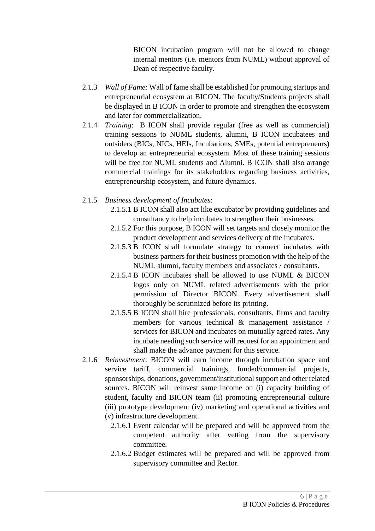BICON incubation program will not be allowed to change internal mentors (i.e. mentors from NUML) without approval of Dean of respective faculty.

- 2.1.3 *Wall of Fame*: Wall of fame shall be established for promoting startups and entrepreneurial ecosystem at BICON. The faculty/Students projects shall be displayed in B ICON in order to promote and strengthen the ecosystem and later for commercialization.
- 2.1.4 *Training*: B ICON shall provide regular (free as well as commercial) training sessions to NUML students, alumni, B ICON incubatees and outsiders (BICs, NICs, HEIs, Incubations, SMEs, potential entrepreneurs) to develop an entrepreneurial ecosystem. Most of these training sessions will be free for NUML students and Alumni. B ICON shall also arrange commercial trainings for its stakeholders regarding business activities, entrepreneurship ecosystem, and future dynamics.
- 2.1.5 *Business development of Incubates*:
	- 2.1.5.1 B ICON shall also act like excubator by providing guidelines and consultancy to help incubates to strengthen their businesses.
	- 2.1.5.2 For this purpose, B ICON will set targets and closely monitor the product development and services delivery of the incubates.
	- 2.1.5.3 B ICON shall formulate strategy to connect incubates with business partners for their business promotion with the help of the NUML alumni, faculty members and associates / consultants.
	- 2.1.5.4 B ICON incubates shall be allowed to use NUML & BICON logos only on NUML related advertisements with the prior permission of Director BICON. Every advertisement shall thoroughly be scrutinized before its printing.
	- 2.1.5.5 B ICON shall hire professionals, consultants, firms and faculty members for various technical & management assistance / services for BICON and incubates on mutually agreed rates. Any incubate needing such service will request for an appointment and shall make the advance payment for this service.
- 2.1.6 *Reinvestment*: BICON will earn income through incubation space and service tariff, commercial trainings, funded/commercial projects, sponsorships, donations, government/institutional support and other related sources. BICON will reinvest same income on (i) capacity building of student, faculty and BICON team (ii) promoting entrepreneurial culture (iii) prototype development (iv) marketing and operational activities and (v) infrastructure development.
	- 2.1.6.1 Event calendar will be prepared and will be approved from the competent authority after vetting from the supervisory committee.
	- 2.1.6.2 Budget estimates will be prepared and will be approved from supervisory committee and Rector.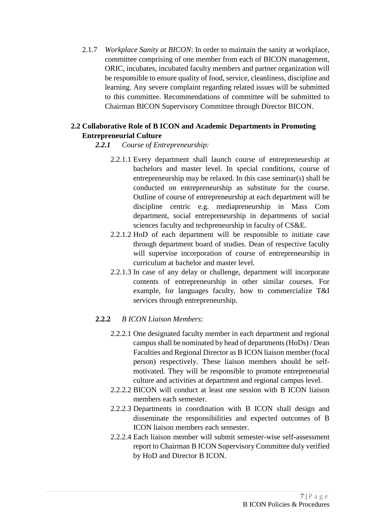2.1.7 *Workplace Sanity at BICON*: In order to maintain the sanity at workplace, committee comprising of one member from each of BICON management, ORIC, incubates, incubated faculty members and partner organization will be responsible to ensure quality of food, service, cleanliness, discipline and learning. Any severe complaint regarding related issues will be submitted to this committee. Recommendations of committee will be submitted to Chairman BICON Supervisory Committee through Director BICON.

## <span id="page-6-0"></span>**2.2 Collaborative Role of B ICON and Academic Departments in Promoting Entrepreneurial Culture**

## *2.2.1 Course of Entrepreneurship:*

- 2.2.1.1 Every department shall launch course of entrepreneurship at bachelors and master level. In special conditions, course of entrepreneurship may be relaxed. In this case seminar(s) shall be conducted on entrepreneurship as substitute for the course. Outline of course of entrepreneurship at each department will be discipline centric e.g. mediapreneurship in Mass Com department, social entrepreneurship in departments of social sciences faculty and techpreneurship in faculty of CS&E.
- 2.2.1.2 HoD of each department will be responsible to initiate case through department board of studies. Dean of respective faculty will supervise incorporation of course of entrepreneurship in curriculum at bachelor and master level.
- 2.2.1.3 In case of any delay or challenge, department will incorporate contents of entrepreneurship in other similar courses. For example, for languages faculty, how to commercialize T&I services through entrepreneurship.

## **2.2.2** *B ICON Liaison Members*:

- 2.2.2.1 One designated faculty member in each department and regional campus shall be nominated by head of departments (HoDs) / Dean Faculties and Regional Director as B ICON liaison member (focal person) respectively. These liaison members should be selfmotivated. They will be responsible to promote entrepreneurial culture and activities at department and regional campus level.
- 2.2.2.2 BICON will conduct at least one session with B ICON liaison members each semester.
- 2.2.2.3 Departments in coordination with B ICON shall design and disseminate the responsibilities and expected outcomes of B ICON liaison members each semester.
- 2.2.2.4 Each liaison member will submit semester-wise self-assessment report to Chairman B ICON Supervisory Committee duly verified by HoD and Director B ICON.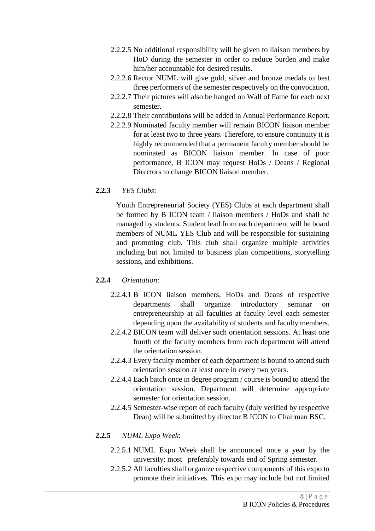- 2.2.2.5 No additional responsibility will be given to liaison members by HoD during the semester in order to reduce burden and make him/her accountable for desired results.
- 2.2.2.6 Rector NUML will give gold, silver and bronze medals to best three performers of the semester respectively on the convocation.
- 2.2.2.7 Their pictures will also be hanged on Wall of Fame for each next semester.
- 2.2.2.8 Their contributions will be added in Annual Performance Report.
- 2.2.2.9 Nominated faculty member will remain BICON liaison member for at least two to three years. Therefore, to ensure continuity it is highly recommended that a permanent faculty member should be nominated as BICON liaison member. In case of poor performance, B ICON may request HoDs / Deans / Regional Directors to change BICON liaison member.

## **2.2.3** *YES Clubs*:

Youth Entrepreneurial Society (YES) Clubs at each department shall be formed by B ICON team / liaison members / HoDs and shall be managed by students. Student lead from each department will be board members of NUML YES Club and will be responsible for sustaining and promoting club. This club shall organize multiple activities including but not limited to business plan competitions, storytelling sessions, and exhibitions.

## **2.2.4** *Orientation*:

- 2.2.4.1 B ICON liaison members, HoDs and Deans of respective departments shall organize introductory seminar entrepreneurship at all faculties at faculty level each semester depending upon the availability of students and faculty members.
- 2.2.4.2 BICON team will deliver such orientation sessions. At least one fourth of the faculty members from each department will attend the orientation session.
- 2.2.4.3 Every faculty member of each department is bound to attend such orientation session at least once in every two years.
- 2.2.4.4 Each batch once in degree program / course is bound to attend the orientation session. Department will determine appropriate semester for orientation session.
- 2.2.4.5 Semester-wise report of each faculty (duly verified by respective Dean) will be submitted by director B ICON to Chairman BSC.

## **2.2.5** *NUML Expo Week*:

- 2.2.5.1 NUML Expo Week shall be announced once a year by the university; most preferably towards end of Spring semester.
- 2.2.5.2 All faculties shall organize respective components of this expo to promote their initiatives. This expo may include but not limited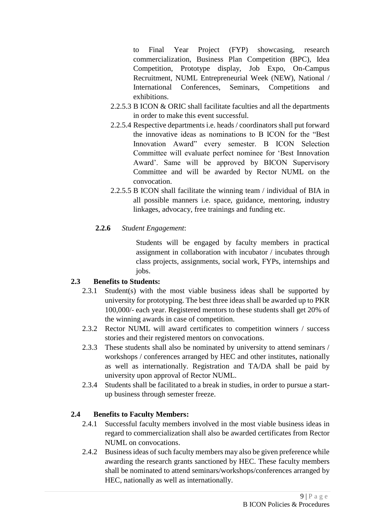to Final Year Project (FYP) showcasing, research commercialization, Business Plan Competition (BPC), Idea Competition, Prototype display, Job Expo, On-Campus Recruitment, NUML Entrepreneurial Week (NEW), National / International Conferences, Seminars, Competitions and exhibitions.

- 2.2.5.3 B ICON & ORIC shall facilitate faculties and all the departments in order to make this event successful.
- 2.2.5.4 Respective departments i.e. heads / coordinators shall put forward the innovative ideas as nominations to B ICON for the "Best Innovation Award" every semester. B ICON Selection Committee will evaluate perfect nominee for 'Best Innovation Award'. Same will be approved by BICON Supervisory Committee and will be awarded by Rector NUML on the convocation.
- 2.2.5.5 B ICON shall facilitate the winning team / individual of BIA in all possible manners i.e. space, guidance, mentoring, industry linkages, advocacy, free trainings and funding etc.

## **2.2.6** *Student Engagement*:

Students will be engaged by faculty members in practical assignment in collaboration with incubator / incubates through class projects, assignments, social work, FYPs, internships and jobs.

## **2.3 Benefits to Students:**

- <span id="page-8-0"></span>2.3.1 Student(s) with the most viable business ideas shall be supported by university for prototyping. The best three ideas shall be awarded up to PKR 100,000/- each year. Registered mentors to these students shall get 20% of the winning awards in case of competition.
- 2.3.2 Rector NUML will award certificates to competition winners / success stories and their registered mentors on convocations.
- 2.3.3 These students shall also be nominated by university to attend seminars / workshops / conferences arranged by HEC and other institutes, nationally as well as internationally. Registration and TA/DA shall be paid by university upon approval of Rector NUML.
- 2.3.4 Students shall be facilitated to a break in studies, in order to pursue a startup business through semester freeze.

## **2.4 Benefits to Faculty Members:**

- <span id="page-8-1"></span>2.4.1 Successful faculty members involved in the most viable business ideas in regard to commercialization shall also be awarded certificates from Rector NUML on convocations.
- 2.4.2 Business ideas of such faculty members may also be given preference while awarding the research grants sanctioned by HEC. These faculty members shall be nominated to attend seminars/workshops/conferences arranged by HEC, nationally as well as internationally.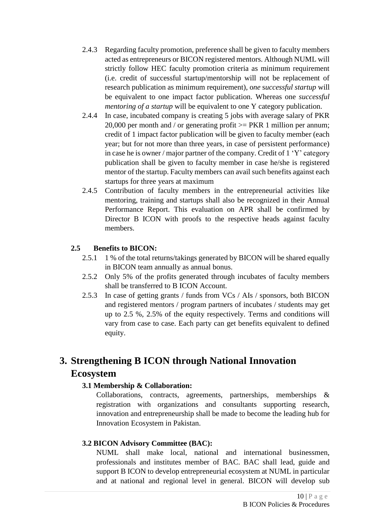- 2.4.3 Regarding faculty promotion, preference shall be given to faculty members acted as entrepreneurs or BICON registered mentors. Although NUML will strictly follow HEC faculty promotion criteria as minimum requirement (i.e. credit of successful startup/mentorship will not be replacement of research publication as minimum requirement), o*ne* s*uccessful startup* will be equivalent to one impact factor publication. Whereas one *successful mentoring of a startup* will be equivalent to one Y category publication.
- 2.4.4 In case, incubated company is creating 5 jobs with average salary of PKR 20,000 per month and / or generating profit  $>=$  PKR 1 million per annum; credit of 1 impact factor publication will be given to faculty member (each year; but for not more than three years, in case of persistent performance) in case he is owner / major partner of the company. Credit of 1 'Y' category publication shall be given to faculty member in case he/she is registered mentor of the startup. Faculty members can avail such benefits against each startups for three years at maximum
- 2.4.5 Contribution of faculty members in the entrepreneurial activities like mentoring, training and startups shall also be recognized in their Annual Performance Report. This evaluation on APR shall be confirmed by Director B ICON with proofs to the respective heads against faculty members.

## **2.5 Benefits to BICON:**

- <span id="page-9-0"></span>2.5.1 1 % of the total returns/takings generated by BICON will be shared equally in BICON team annually as annual bonus.
- 2.5.2 Only 5% of the profits generated through incubates of faculty members shall be transferred to B ICON Account.
- 2.5.3 In case of getting grants / funds from VCs / AIs / sponsors, both BICON and registered mentors / program partners of incubates / students may get up to 2.5 %, 2.5% of the equity respectively. Terms and conditions will vary from case to case. Each party can get benefits equivalent to defined equity.

# <span id="page-9-2"></span><span id="page-9-1"></span>**3. Strengthening B ICON through National Innovation Ecosystem**

## **3.1 Membership & Collaboration:**

Collaborations, contracts, agreements, partnerships, memberships & registration with organizations and consultants supporting research, innovation and entrepreneurship shall be made to become the leading hub for Innovation Ecosystem in Pakistan.

## <span id="page-9-3"></span>**3.2 BICON Advisory Committee (BAC):**

NUML shall make local, national and international businessmen, professionals and institutes member of BAC. BAC shall lead, guide and support B ICON to develop entrepreneurial ecosystem at NUML in particular and at national and regional level in general. BICON will develop sub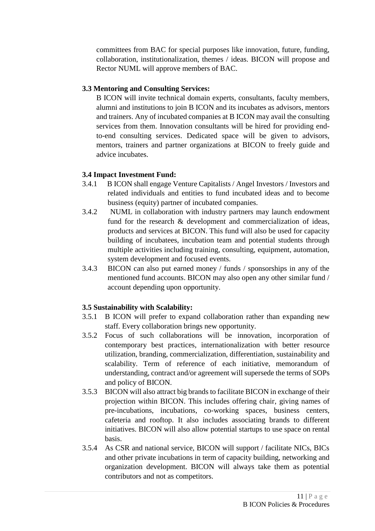committees from BAC for special purposes like innovation, future, funding, collaboration, institutionalization, themes / ideas. BICON will propose and Rector NUML will approve members of BAC.

## <span id="page-10-0"></span>**3.3 Mentoring and Consulting Services:**

B ICON will invite technical domain experts, consultants, faculty members, alumni and institutions to join B ICON and its incubates as advisors, mentors and trainers. Any of incubated companies at B ICON may avail the consulting services from them. Innovation consultants will be hired for providing endto-end consulting services. Dedicated space will be given to advisors, mentors, trainers and partner organizations at BICON to freely guide and advice incubates.

## <span id="page-10-1"></span>**3.4 Impact Investment Fund:**

- 3.4.1 B ICON shall engage Venture Capitalists / Angel Investors / Investors and related individuals and entities to fund incubated ideas and to become business (equity) partner of incubated companies.
- 3.4.2 NUML in collaboration with industry partners may launch endowment fund for the research & development and commercialization of ideas, products and services at BICON. This fund will also be used for capacity building of incubatees, incubation team and potential students through multiple activities including training, consulting, equipment, automation, system development and focused events.
- 3.4.3 BICON can also put earned money / funds / sponsorships in any of the mentioned fund accounts. BICON may also open any other similar fund / account depending upon opportunity.

## <span id="page-10-2"></span>**3.5 Sustainability with Scalability:**

- 3.5.1 B ICON will prefer to expand collaboration rather than expanding new staff. Every collaboration brings new opportunity.
- 3.5.2 Focus of such collaborations will be innovation, incorporation of contemporary best practices, internationalization with better resource utilization, branding, commercialization, differentiation, sustainability and scalability. Term of reference of each initiative, memorandum of understanding, contract and/or agreement will supersede the terms of SOPs and policy of BICON.
- 3.5.3 BICON will also attract big brands to facilitate BICON in exchange of their projection within BICON. This includes offering chair, giving names of pre-incubations, incubations, co-working spaces, business centers, cafeteria and rooftop. It also includes associating brands to different initiatives. BICON will also allow potential startups to use space on rental basis.
- 3.5.4 As CSR and national service, BICON will support / facilitate NICs, BICs and other private incubations in term of capacity building, networking and organization development. BICON will always take them as potential contributors and not as competitors.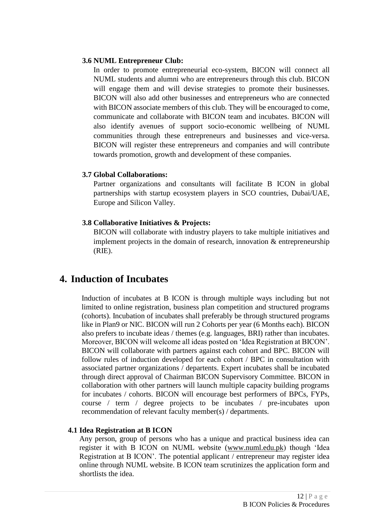## <span id="page-11-0"></span>**3.6 NUML Entrepreneur Club:**

In order to promote entrepreneurial eco-system, BICON will connect all NUML students and alumni who are entrepreneurs through this club. BICON will engage them and will devise strategies to promote their businesses. BICON will also add other businesses and entrepreneurs who are connected with BICON associate members of this club. They will be encouraged to come. communicate and collaborate with BICON team and incubates. BICON will also identify avenues of support socio-economic wellbeing of NUML communities through these entrepreneurs and businesses and vice-versa. BICON will register these entrepreneurs and companies and will contribute towards promotion, growth and development of these companies.

## <span id="page-11-1"></span>**3.7 Global Collaborations:**

Partner organizations and consultants will facilitate B ICON in global partnerships with startup ecosystem players in SCO countries, Dubai/UAE, Europe and Silicon Valley.

## <span id="page-11-2"></span>**3.8 Collaborative Initiatives & Projects:**

BICON will collaborate with industry players to take multiple initiatives and implement projects in the domain of research, innovation  $\&$  entrepreneurship (RIE).

## <span id="page-11-3"></span>**4. Induction of Incubates**

Induction of incubates at B ICON is through multiple ways including but not limited to online registration, business plan competition and structured programs (cohorts). Incubation of incubates shall preferably be through structured programs like in Plan9 or NIC. BICON will run 2 Cohorts per year (6 Months each). BICON also prefers to incubate ideas / themes (e.g. languages, BRI) rather than incubates. Moreover, BICON will welcome all ideas posted on 'Idea Registration at BICON'. BICON will collaborate with partners against each cohort and BPC. BICON will follow rules of induction developed for each cohort / BPC in consultation with associated partner organizations / departents. Expert incubates shall be incubated through direct approval of Chairman BICON Supervisory Committee. BICON in collaboration with other partners will launch multiple capacity building programs for incubates / cohorts. BICON will encourage best performers of BPCs, FYPs, course / term / degree projects to be incubates / pre-incubates upon recommendation of relevant faculty member(s) / departments.

## <span id="page-11-4"></span>**4.1 Idea Registration at B ICON**

Any person, group of persons who has a unique and practical business idea can register it with B ICON on NUML website [\(www.numl.edu.pk\)](http://www.numl.edu.pk/) though 'Idea Registration at B ICON'. The potential applicant / entrepreneur may register idea online through NUML website. B ICON team scrutinizes the application form and shortlists the idea.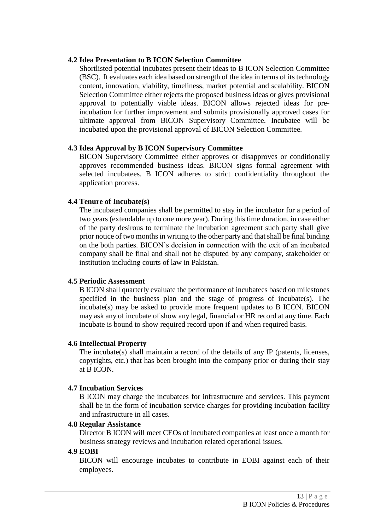#### <span id="page-12-0"></span>**4.2 Idea Presentation to B ICON Selection Committee**

Shortlisted potential incubates present their ideas to B ICON Selection Committee (BSC). It evaluates each idea based on strength of the idea in terms of its technology content, innovation, viability, timeliness, market potential and scalability. BICON Selection Committee either rejects the proposed business ideas or gives provisional approval to potentially viable ideas. BICON allows rejected ideas for preincubation for further improvement and submits provisionally approved cases for ultimate approval from BICON Supervisory Committee. Incubatee will be incubated upon the provisional approval of BICON Selection Committee.

## <span id="page-12-1"></span>**4.3 Idea Approval by B ICON Supervisory Committee**

BICON Supervisory Committee either approves or disapproves or conditionally approves recommended business ideas. BICON signs formal agreement with selected incubatees. B ICON adheres to strict confidentiality throughout the application process.

## <span id="page-12-2"></span>**4.4 Tenure of Incubate(s)**

The incubated companies shall be permitted to stay in the incubator for a period of two years (extendable up to one more year). During this time duration, in case either of the party desirous to terminate the incubation agreement such party shall give prior notice of two months in writing to the other party and that shall be final binding on the both parties. BICON's decision in connection with the exit of an incubated company shall be final and shall not be disputed by any company, stakeholder or institution including courts of law in Pakistan.

#### <span id="page-12-3"></span>**4.5 Periodic Assessment**

B ICON shall quarterly evaluate the performance of incubatees based on milestones specified in the business plan and the stage of progress of incubate(s). The incubate(s) may be asked to provide more frequent updates to B ICON. BICON may ask any of incubate of show any legal, financial or HR record at any time. Each incubate is bound to show required record upon if and when required basis.

#### <span id="page-12-4"></span>**4.6 Intellectual Property**

The incubate(s) shall maintain a record of the details of any IP (patents, licenses, copyrights, etc.) that has been brought into the company prior or during their stay at B ICON.

## <span id="page-12-5"></span>**4.7 Incubation Services**

B ICON may charge the incubatees for infrastructure and services. This payment shall be in the form of incubation service charges for providing incubation facility and infrastructure in all cases.

#### <span id="page-12-6"></span>**4.8 Regular Assistance**

Director B ICON will meet CEOs of incubated companies at least once a month for business strategy reviews and incubation related operational issues.

#### <span id="page-12-7"></span>**4.9 EOBI**

BICON will encourage incubates to contribute in EOBI against each of their employees.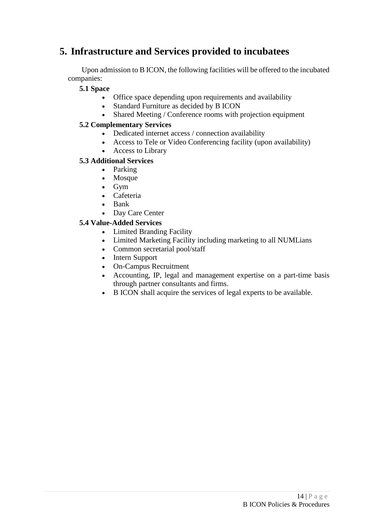# <span id="page-13-0"></span>**5. Infrastructure and Services provided to incubatees**

<span id="page-13-1"></span>Upon admission to B ICON, the following facilities will be offered to the incubated companies:

## **5.1 Space**

- Office space depending upon requirements and availability
- Standard Furniture as decided by B ICON
- Shared Meeting / Conference rooms with projection equipment

## <span id="page-13-2"></span>**5.2 Complementary Services**

- Dedicated internet access / connection availability
- Access to Tele or Video Conferencing facility (upon availability)
- Access to Library

## <span id="page-13-3"></span>**5.3 Additional Services**

- Parking
- Mosque
- $\bullet$  Gym
- Cafeteria
- Bank
- Day Care Center

## <span id="page-13-4"></span>**5.4 Value-Added Services**

- Limited Branding Facility
- Limited Marketing Facility including marketing to all NUMLians
- Common secretarial pool/staff
- Intern Support
- On-Campus Recruitment
- Accounting, IP, legal and management expertise on a part-time basis through partner consultants and firms.
- B ICON shall acquire the services of legal experts to be available.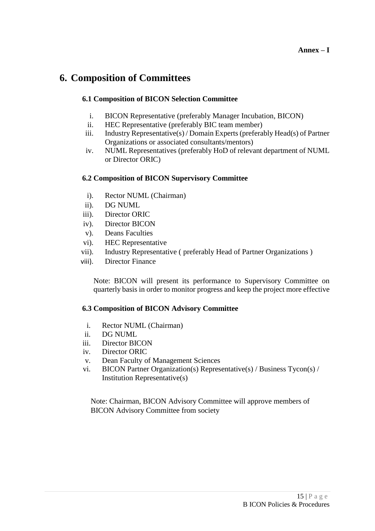# <span id="page-14-1"></span><span id="page-14-0"></span>**6. Composition of Committees**

## **6.1 Composition of BICON Selection Committee**

- i. BICON Representative (preferably Manager Incubation, BICON)
- ii. HEC Representative (preferably BIC team member)
- iii. Industry Representative(s) / Domain Experts (preferably Head(s) of Partner Organizations or associated consultants/mentors)
- iv. NUML Representatives (preferably HoD of relevant department of NUML or Director ORIC)

## <span id="page-14-2"></span>**6.2 Composition of BICON Supervisory Committee**

- i). Rector NUML (Chairman)
- ii). DG NUML
- iii). Director ORIC
- iv). Director BICON
- v). Deans Faculties
- vi). HEC Representative
- vii). Industry Representative ( preferably Head of Partner Organizations )
- viii). Director Finance

Note: BICON will present its performance to Supervisory Committee on quarterly basis in order to monitor progress and keep the project more effective

## <span id="page-14-3"></span>**6.3 Composition of BICON Advisory Committee**

- i. Rector NUML (Chairman)
- ii. DG NUML
- iii. Director BICON
- iv. Director ORIC
- v. Dean Faculty of Management Sciences
- vi. BICON Partner Organization(s) Representative(s) / Business Tycon(s) / Institution Representative(s)

Note: Chairman, BICON Advisory Committee will approve members of BICON Advisory Committee from society